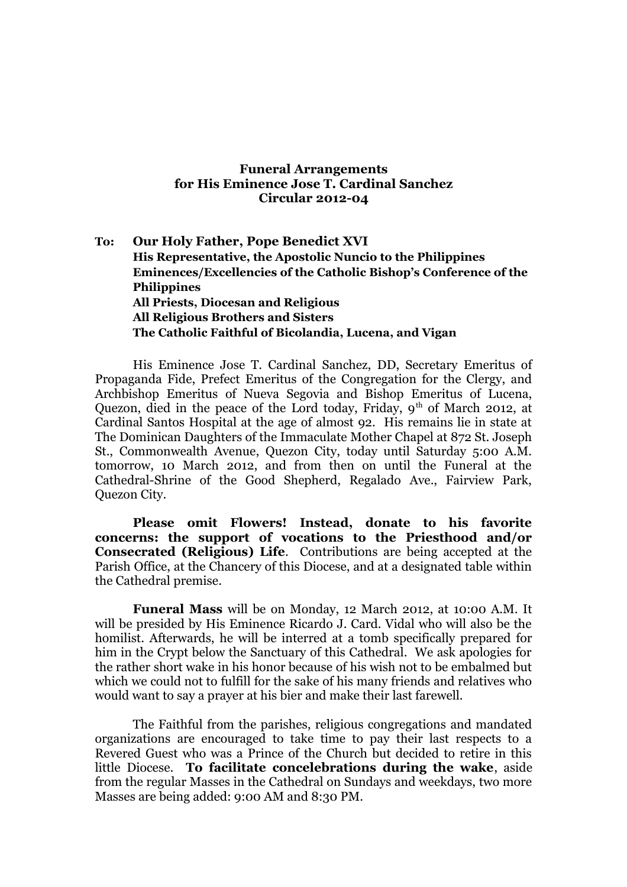## **Funeral Arrangements for His Eminence Jose T. Cardinal Sanchez Circular 2012-04**

## **To: Our Holy Father, Pope Benedict XVI His Representative, the Apostolic Nuncio to the Philippines Eminences/Excellencies of the Catholic Bishop's Conference of the Philippines All Priests, Diocesan and Religious All Religious Brothers and Sisters The Catholic Faithful of Bicolandia, Lucena, and Vigan**

His Eminence Jose T. Cardinal Sanchez, DD, Secretary Emeritus of Propaganda Fide, Prefect Emeritus of the Congregation for the Clergy, and Archbishop Emeritus of Nueva Segovia and Bishop Emeritus of Lucena, Quezon, died in the peace of the Lord today, Friday,  $9<sup>th</sup>$  of March 2012, at Cardinal Santos Hospital at the age of almost 92. His remains lie in state at The Dominican Daughters of the Immaculate Mother Chapel at 872 St. Joseph St., Commonwealth Avenue, Quezon City, today until Saturday 5:00 A.M. tomorrow, 10 March 2012, and from then on until the Funeral at the Cathedral-Shrine of the Good Shepherd, Regalado Ave., Fairview Park, Quezon City.

**Please omit Flowers! Instead, donate to his favorite concerns: the support of vocations to the Priesthood and/or Consecrated (Religious) Life**. Contributions are being accepted at the Parish Office, at the Chancery of this Diocese, and at a designated table within the Cathedral premise.

**Funeral Mass** will be on Monday, 12 March 2012, at 10:00 A.M. It will be presided by His Eminence Ricardo J. Card. Vidal who will also be the homilist. Afterwards, he will be interred at a tomb specifically prepared for him in the Crypt below the Sanctuary of this Cathedral. We ask apologies for the rather short wake in his honor because of his wish not to be embalmed but which we could not to fulfill for the sake of his many friends and relatives who would want to say a prayer at his bier and make their last farewell.

The Faithful from the parishes, religious congregations and mandated organizations are encouraged to take time to pay their last respects to a Revered Guest who was a Prince of the Church but decided to retire in this little Diocese. **To facilitate concelebrations during the wake**, aside from the regular Masses in the Cathedral on Sundays and weekdays, two more Masses are being added: 9:00 AM and 8:30 PM.